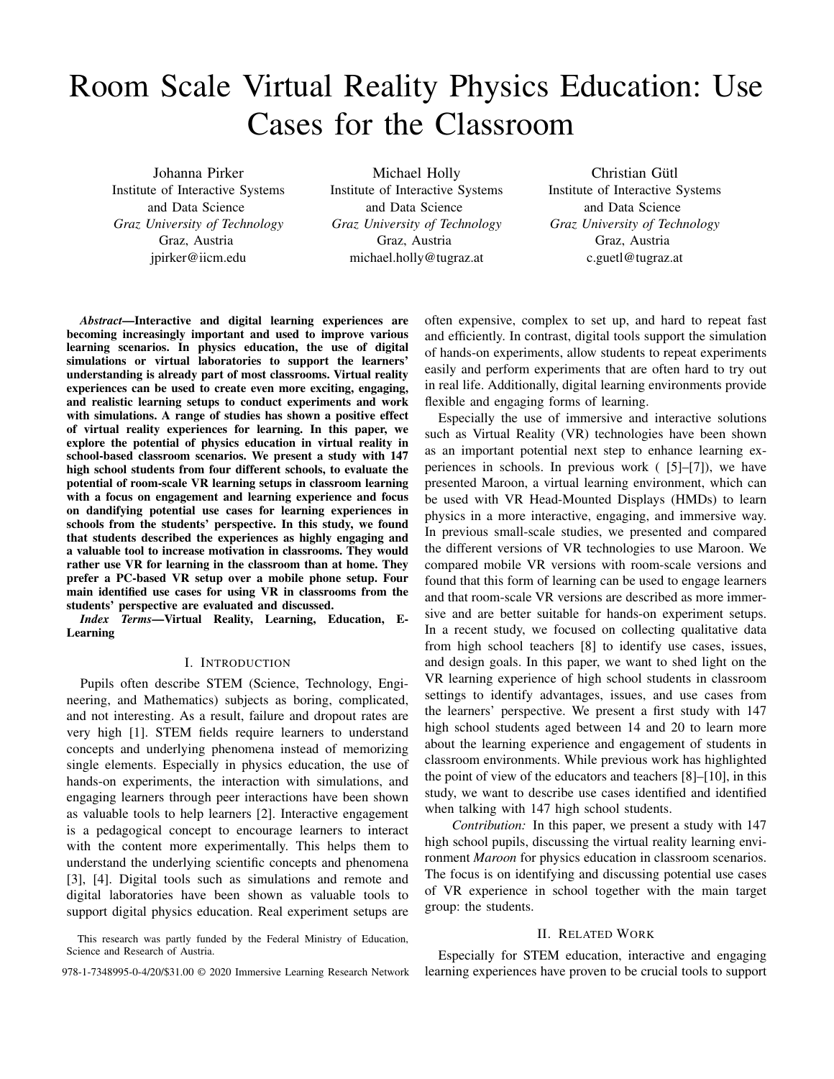# Room Scale Virtual Reality Physics Education: Use Cases for the Classroom

Johanna Pirker Institute of Interactive Systems and Data Science *Graz University of Technology* Graz, Austria jpirker@iicm.edu

Michael Holly Institute of Interactive Systems and Data Science *Graz University of Technology* Graz, Austria michael.holly@tugraz.at

Christian Gütl Institute of Interactive Systems and Data Science *Graz University of Technology* Graz, Austria c.guetl@tugraz.at

*Abstract*—Interactive and digital learning experiences are becoming increasingly important and used to improve various learning scenarios. In physics education, the use of digital simulations or virtual laboratories to support the learners' understanding is already part of most classrooms. Virtual reality experiences can be used to create even more exciting, engaging, and realistic learning setups to conduct experiments and work with simulations. A range of studies has shown a positive effect of virtual reality experiences for learning. In this paper, we explore the potential of physics education in virtual reality in school-based classroom scenarios. We present a study with 147 high school students from four different schools, to evaluate the potential of room-scale VR learning setups in classroom learning with a focus on engagement and learning experience and focus on dandifying potential use cases for learning experiences in schools from the students' perspective. In this study, we found that students described the experiences as highly engaging and a valuable tool to increase motivation in classrooms. They would rather use VR for learning in the classroom than at home. They prefer a PC-based VR setup over a mobile phone setup. Four main identified use cases for using VR in classrooms from the students' perspective are evaluated and discussed.

*Index Terms*—Virtual Reality, Learning, Education, E-Learning

#### I. INTRODUCTION

Pupils often describe STEM (Science, Technology, Engineering, and Mathematics) subjects as boring, complicated, and not interesting. As a result, failure and dropout rates are very high [1]. STEM fields require learners to understand concepts and underlying phenomena instead of memorizing single elements. Especially in physics education, the use of hands-on experiments, the interaction with simulations, and engaging learners through peer interactions have been shown as valuable tools to help learners [2]. Interactive engagement is a pedagogical concept to encourage learners to interact with the content more experimentally. This helps them to understand the underlying scientific concepts and phenomena [3], [4]. Digital tools such as simulations and remote and digital laboratories have been shown as valuable tools to support digital physics education. Real experiment setups are

This research was partly funded by the Federal Ministry of Education, Science and Research of Austria.

often expensive, complex to set up, and hard to repeat fast and efficiently. In contrast, digital tools support the simulation of hands-on experiments, allow students to repeat experiments easily and perform experiments that are often hard to try out in real life. Additionally, digital learning environments provide flexible and engaging forms of learning.

Especially the use of immersive and interactive solutions such as Virtual Reality (VR) technologies have been shown as an important potential next step to enhance learning experiences in schools. In previous work ( [5]–[7]), we have presented Maroon, a virtual learning environment, which can be used with VR Head-Mounted Displays (HMDs) to learn physics in a more interactive, engaging, and immersive way. In previous small-scale studies, we presented and compared the different versions of VR technologies to use Maroon. We compared mobile VR versions with room-scale versions and found that this form of learning can be used to engage learners and that room-scale VR versions are described as more immersive and are better suitable for hands-on experiment setups. In a recent study, we focused on collecting qualitative data from high school teachers [8] to identify use cases, issues, and design goals. In this paper, we want to shed light on the VR learning experience of high school students in classroom settings to identify advantages, issues, and use cases from the learners' perspective. We present a first study with 147 high school students aged between 14 and 20 to learn more about the learning experience and engagement of students in classroom environments. While previous work has highlighted the point of view of the educators and teachers [8]–[10], in this study, we want to describe use cases identified and identified when talking with 147 high school students.

*Contribution:* In this paper, we present a study with 147 high school pupils, discussing the virtual reality learning environment *Maroon* for physics education in classroom scenarios. The focus is on identifying and discussing potential use cases of VR experience in school together with the main target group: the students.

#### II. RELATED WORK

Especially for STEM education, interactive and engaging 978-1-7348995-0-4/20/\$31.00 © 2020 Immersive Learning Research Network learning experiences have proven to be crucial tools to support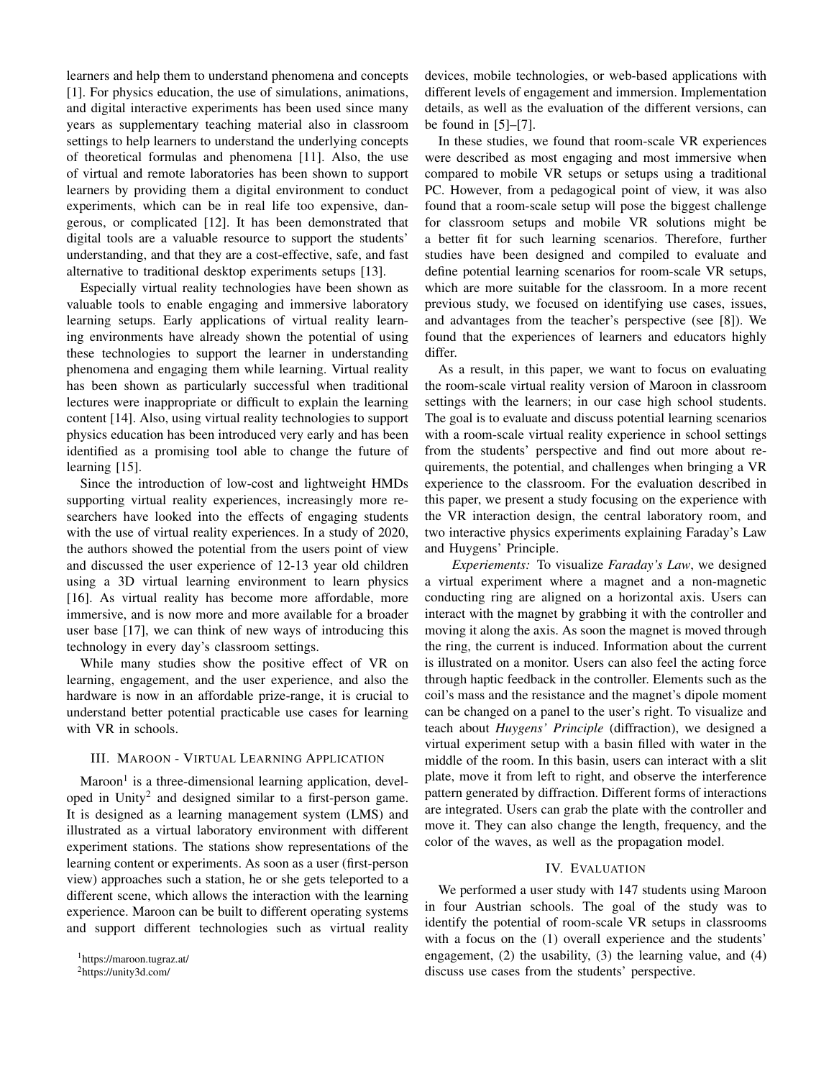learners and help them to understand phenomena and concepts [1]. For physics education, the use of simulations, animations, and digital interactive experiments has been used since many years as supplementary teaching material also in classroom settings to help learners to understand the underlying concepts of theoretical formulas and phenomena [11]. Also, the use of virtual and remote laboratories has been shown to support learners by providing them a digital environment to conduct experiments, which can be in real life too expensive, dangerous, or complicated [12]. It has been demonstrated that digital tools are a valuable resource to support the students' understanding, and that they are a cost-effective, safe, and fast alternative to traditional desktop experiments setups [13].

Especially virtual reality technologies have been shown as valuable tools to enable engaging and immersive laboratory learning setups. Early applications of virtual reality learning environments have already shown the potential of using these technologies to support the learner in understanding phenomena and engaging them while learning. Virtual reality has been shown as particularly successful when traditional lectures were inappropriate or difficult to explain the learning content [14]. Also, using virtual reality technologies to support physics education has been introduced very early and has been identified as a promising tool able to change the future of learning [15].

Since the introduction of low-cost and lightweight HMDs supporting virtual reality experiences, increasingly more researchers have looked into the effects of engaging students with the use of virtual reality experiences. In a study of 2020, the authors showed the potential from the users point of view and discussed the user experience of 12-13 year old children using a 3D virtual learning environment to learn physics [16]. As virtual reality has become more affordable, more immersive, and is now more and more available for a broader user base [17], we can think of new ways of introducing this technology in every day's classroom settings.

While many studies show the positive effect of VR on learning, engagement, and the user experience, and also the hardware is now in an affordable prize-range, it is crucial to understand better potential practicable use cases for learning with VR in schools.

## III. MAROON - VIRTUAL LEARNING APPLICATION

Maroon<sup>1</sup> is a three-dimensional learning application, developed in Unity<sup>2</sup> and designed similar to a first-person game. It is designed as a learning management system (LMS) and illustrated as a virtual laboratory environment with different experiment stations. The stations show representations of the learning content or experiments. As soon as a user (first-person view) approaches such a station, he or she gets teleported to a different scene, which allows the interaction with the learning experience. Maroon can be built to different operating systems and support different technologies such as virtual reality devices, mobile technologies, or web-based applications with different levels of engagement and immersion. Implementation details, as well as the evaluation of the different versions, can be found in [5]–[7].

In these studies, we found that room-scale VR experiences were described as most engaging and most immersive when compared to mobile VR setups or setups using a traditional PC. However, from a pedagogical point of view, it was also found that a room-scale setup will pose the biggest challenge for classroom setups and mobile VR solutions might be a better fit for such learning scenarios. Therefore, further studies have been designed and compiled to evaluate and define potential learning scenarios for room-scale VR setups, which are more suitable for the classroom. In a more recent previous study, we focused on identifying use cases, issues, and advantages from the teacher's perspective (see [8]). We found that the experiences of learners and educators highly differ.

As a result, in this paper, we want to focus on evaluating the room-scale virtual reality version of Maroon in classroom settings with the learners; in our case high school students. The goal is to evaluate and discuss potential learning scenarios with a room-scale virtual reality experience in school settings from the students' perspective and find out more about requirements, the potential, and challenges when bringing a VR experience to the classroom. For the evaluation described in this paper, we present a study focusing on the experience with the VR interaction design, the central laboratory room, and two interactive physics experiments explaining Faraday's Law and Huygens' Principle.

*Experiements:* To visualize *Faraday's Law*, we designed a virtual experiment where a magnet and a non-magnetic conducting ring are aligned on a horizontal axis. Users can interact with the magnet by grabbing it with the controller and moving it along the axis. As soon the magnet is moved through the ring, the current is induced. Information about the current is illustrated on a monitor. Users can also feel the acting force through haptic feedback in the controller. Elements such as the coil's mass and the resistance and the magnet's dipole moment can be changed on a panel to the user's right. To visualize and teach about *Huygens' Principle* (diffraction), we designed a virtual experiment setup with a basin filled with water in the middle of the room. In this basin, users can interact with a slit plate, move it from left to right, and observe the interference pattern generated by diffraction. Different forms of interactions are integrated. Users can grab the plate with the controller and move it. They can also change the length, frequency, and the color of the waves, as well as the propagation model.

#### IV. EVALUATION

We performed a user study with 147 students using Maroon in four Austrian schools. The goal of the study was to identify the potential of room-scale VR setups in classrooms with a focus on the (1) overall experience and the students' engagement, (2) the usability, (3) the learning value, and (4) discuss use cases from the students' perspective.

<sup>1</sup>https://maroon.tugraz.at/

<sup>2</sup>https://unity3d.com/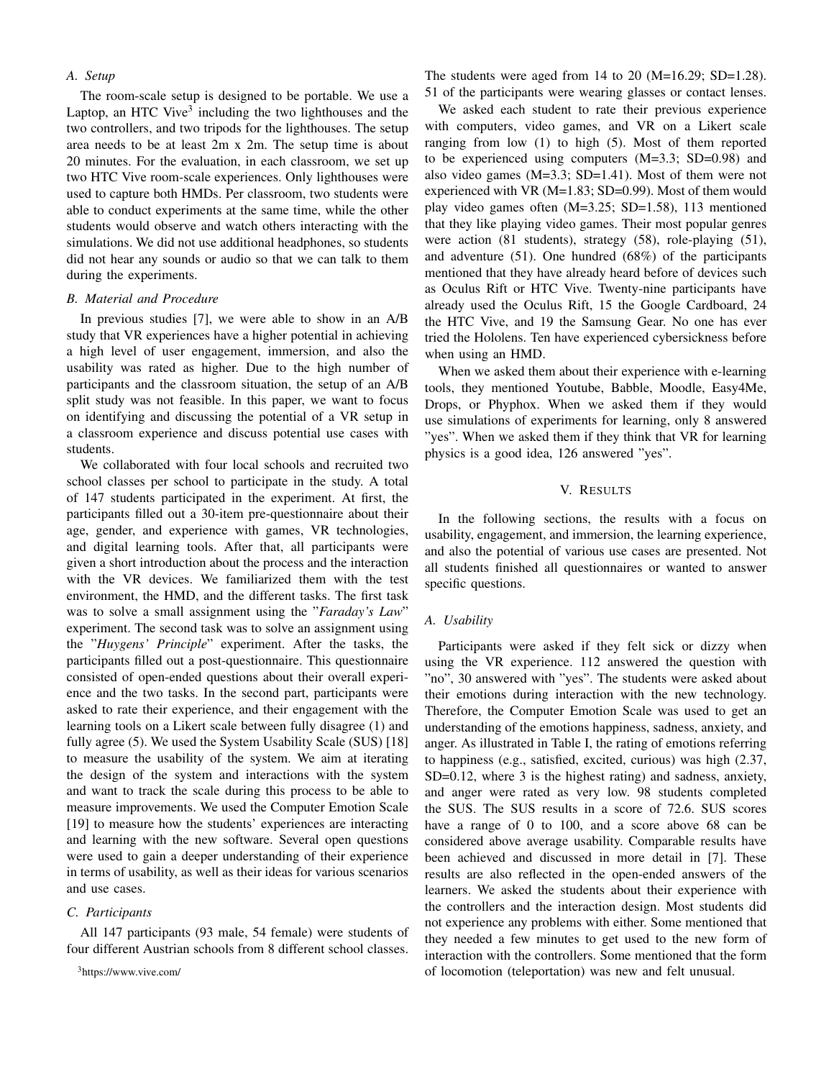# *A. Setup*

The room-scale setup is designed to be portable. We use a Laptop, an HTC Vive<sup>3</sup> including the two lighthouses and the two controllers, and two tripods for the lighthouses. The setup area needs to be at least 2m x 2m. The setup time is about 20 minutes. For the evaluation, in each classroom, we set up two HTC Vive room-scale experiences. Only lighthouses were used to capture both HMDs. Per classroom, two students were able to conduct experiments at the same time, while the other students would observe and watch others interacting with the simulations. We did not use additional headphones, so students did not hear any sounds or audio so that we can talk to them during the experiments.

#### *B. Material and Procedure*

In previous studies [7], we were able to show in an A/B study that VR experiences have a higher potential in achieving a high level of user engagement, immersion, and also the usability was rated as higher. Due to the high number of participants and the classroom situation, the setup of an A/B split study was not feasible. In this paper, we want to focus on identifying and discussing the potential of a VR setup in a classroom experience and discuss potential use cases with students.

We collaborated with four local schools and recruited two school classes per school to participate in the study. A total of 147 students participated in the experiment. At first, the participants filled out a 30-item pre-questionnaire about their age, gender, and experience with games, VR technologies, and digital learning tools. After that, all participants were given a short introduction about the process and the interaction with the VR devices. We familiarized them with the test environment, the HMD, and the different tasks. The first task was to solve a small assignment using the "*Faraday's Law*" experiment. The second task was to solve an assignment using the "*Huygens' Principle*" experiment. After the tasks, the participants filled out a post-questionnaire. This questionnaire consisted of open-ended questions about their overall experience and the two tasks. In the second part, participants were asked to rate their experience, and their engagement with the learning tools on a Likert scale between fully disagree (1) and fully agree (5). We used the System Usability Scale (SUS) [18] to measure the usability of the system. We aim at iterating the design of the system and interactions with the system and want to track the scale during this process to be able to measure improvements. We used the Computer Emotion Scale [19] to measure how the students' experiences are interacting and learning with the new software. Several open questions were used to gain a deeper understanding of their experience in terms of usability, as well as their ideas for various scenarios and use cases.

#### *C. Participants*

All 147 participants (93 male, 54 female) were students of four different Austrian schools from 8 different school classes.

<sup>3</sup>https://www.vive.com/

The students were aged from  $14$  to  $20$  (M=16.29; SD=1.28). 51 of the participants were wearing glasses or contact lenses.

We asked each student to rate their previous experience with computers, video games, and VR on a Likert scale ranging from low (1) to high (5). Most of them reported to be experienced using computers (M=3.3; SD=0.98) and also video games (M=3.3; SD=1.41). Most of them were not experienced with VR (M=1.83; SD=0.99). Most of them would play video games often (M=3.25; SD=1.58), 113 mentioned that they like playing video games. Their most popular genres were action (81 students), strategy (58), role-playing (51), and adventure (51). One hundred (68%) of the participants mentioned that they have already heard before of devices such as Oculus Rift or HTC Vive. Twenty-nine participants have already used the Oculus Rift, 15 the Google Cardboard, 24 the HTC Vive, and 19 the Samsung Gear. No one has ever tried the Hololens. Ten have experienced cybersickness before when using an HMD.

When we asked them about their experience with e-learning tools, they mentioned Youtube, Babble, Moodle, Easy4Me, Drops, or Phyphox. When we asked them if they would use simulations of experiments for learning, only 8 answered "yes". When we asked them if they think that VR for learning physics is a good idea, 126 answered "yes".

#### V. RESULTS

In the following sections, the results with a focus on usability, engagement, and immersion, the learning experience, and also the potential of various use cases are presented. Not all students finished all questionnaires or wanted to answer specific questions.

#### *A. Usability*

Participants were asked if they felt sick or dizzy when using the VR experience. 112 answered the question with "no", 30 answered with "yes". The students were asked about their emotions during interaction with the new technology. Therefore, the Computer Emotion Scale was used to get an understanding of the emotions happiness, sadness, anxiety, and anger. As illustrated in Table I, the rating of emotions referring to happiness (e.g., satisfied, excited, curious) was high (2.37, SD=0.12, where 3 is the highest rating) and sadness, anxiety, and anger were rated as very low. 98 students completed the SUS. The SUS results in a score of 72.6. SUS scores have a range of 0 to 100, and a score above 68 can be considered above average usability. Comparable results have been achieved and discussed in more detail in [7]. These results are also reflected in the open-ended answers of the learners. We asked the students about their experience with the controllers and the interaction design. Most students did not experience any problems with either. Some mentioned that they needed a few minutes to get used to the new form of interaction with the controllers. Some mentioned that the form of locomotion (teleportation) was new and felt unusual.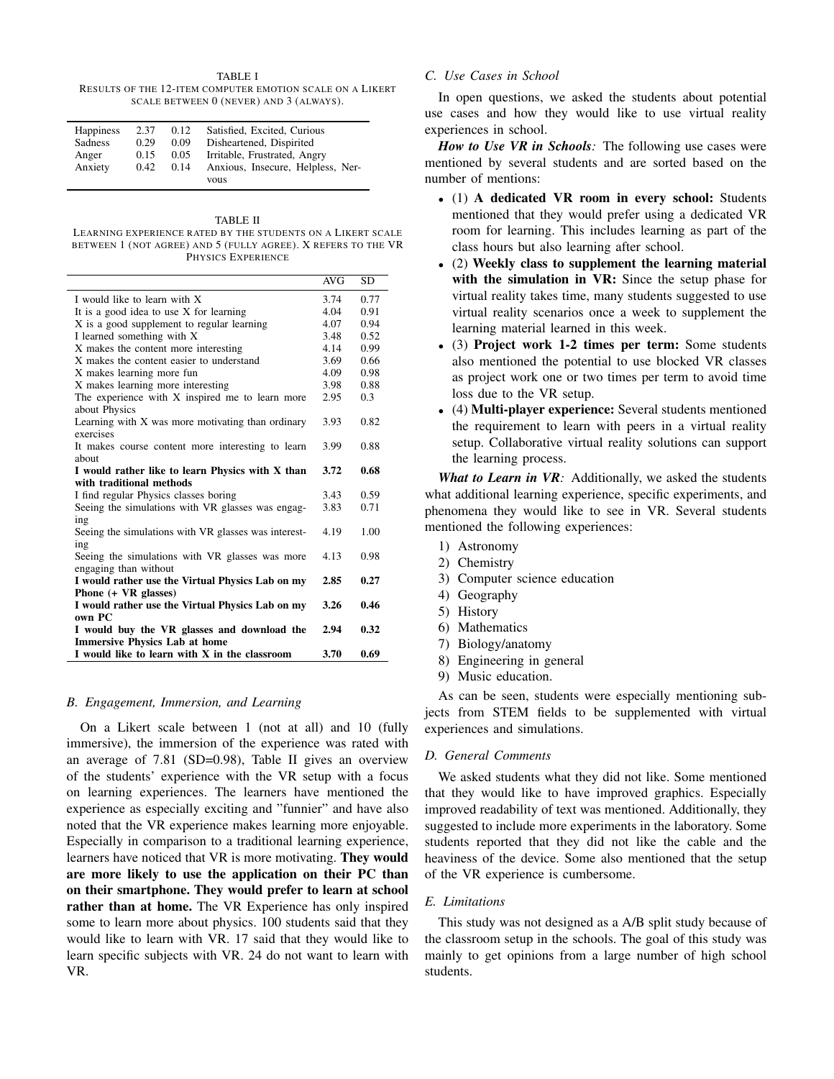#### TABLE I

RESULTS OF THE 12-ITEM COMPUTER EMOTION SCALE ON A LIKERT SCALE BETWEEN 0 (NEVER) AND 3 (ALWAYS).

| <b>Happiness</b><br>Sadness<br>Anger | 2.37<br>0.29<br>0.15 | 0.12<br>0.09<br>0.05 | Satisfied, Excited, Curious<br>Disheartened, Dispirited<br>Irritable, Frustrated, Angry |
|--------------------------------------|----------------------|----------------------|-----------------------------------------------------------------------------------------|
| Anxiety                              | 0.42                 | 0.14                 | Anxious, Insecure, Helpless, Ner-                                                       |
|                                      |                      |                      | vous                                                                                    |

#### TABLE II

LEARNING EXPERIENCE RATED BY THE STUDENTS ON A LIKERT SCALE BETWEEN 1 (NOT AGREE) AND 5 (FULLY AGREE). X REFERS TO THE VR PHYSICS EXPERIENCE

|                                                                                    | AVG  | SD   |
|------------------------------------------------------------------------------------|------|------|
| I would like to learn with X                                                       | 3.74 | 0.77 |
| It is a good idea to use X for learning                                            |      | 0.91 |
| X is a good supplement to regular learning                                         |      | 0.94 |
| I learned something with X                                                         |      | 0.52 |
| X makes the content more interesting                                               |      | 0.99 |
| X makes the content easier to understand                                           |      | 0.66 |
| X makes learning more fun                                                          |      | 0.98 |
| X makes learning more interesting                                                  | 3.98 | 0.88 |
| The experience with X inspired me to learn more<br>about Physics                   |      | 0.3  |
| Learning with X was more motivating than ordinary<br>exercises                     |      | 0.82 |
| It makes course content more interesting to learn<br>about                         | 3.99 | 0.88 |
| I would rather like to learn Physics with X than                                   | 3.72 | 0.68 |
| with traditional methods                                                           |      |      |
| I find regular Physics classes boring                                              | 3.43 | 0.59 |
| Seeing the simulations with VR glasses was engag-                                  |      | 0.71 |
| ing                                                                                |      |      |
| Seeing the simulations with VR glasses was interest-<br>ing                        | 4.19 | 1.00 |
| Seeing the simulations with VR glasses was more                                    |      | 0.98 |
| engaging than without                                                              | 2.85 | 0.27 |
| I would rather use the Virtual Physics Lab on my<br>Phone $(+ \text{ VR}$ glasses) |      |      |
| I would rather use the Virtual Physics Lab on my<br>own PC                         |      | 0.46 |
| I would buy the VR glasses and download the                                        | 2.94 | 0.32 |
| <b>Immersive Physics Lab at home</b>                                               |      |      |
| I would like to learn with X in the classroom                                      | 3.70 | 0.69 |

#### *B. Engagement, Immersion, and Learning*

On a Likert scale between 1 (not at all) and 10 (fully immersive), the immersion of the experience was rated with an average of 7.81 (SD=0.98), Table II gives an overview of the students' experience with the VR setup with a focus on learning experiences. The learners have mentioned the experience as especially exciting and "funnier" and have also noted that the VR experience makes learning more enjoyable. Especially in comparison to a traditional learning experience, learners have noticed that VR is more motivating. They would are more likely to use the application on their PC than on their smartphone. They would prefer to learn at school rather than at home. The VR Experience has only inspired some to learn more about physics. 100 students said that they would like to learn with VR. 17 said that they would like to learn specific subjects with VR. 24 do not want to learn with VR.

# *C. Use Cases in School*

In open questions, we asked the students about potential use cases and how they would like to use virtual reality experiences in school.

*How to Use VR in Schools:* The following use cases were mentioned by several students and are sorted based on the number of mentions:

- (1) A dedicated VR room in every school: Students mentioned that they would prefer using a dedicated VR room for learning. This includes learning as part of the class hours but also learning after school.
- (2) Weekly class to supplement the learning material with the simulation in VR: Since the setup phase for virtual reality takes time, many students suggested to use virtual reality scenarios once a week to supplement the learning material learned in this week.
- (3) Project work 1-2 times per term: Some students also mentioned the potential to use blocked VR classes as project work one or two times per term to avoid time loss due to the VR setup.
- (4) Multi-player experience: Several students mentioned the requirement to learn with peers in a virtual reality setup. Collaborative virtual reality solutions can support the learning process.

*What to Learn in VR:* Additionally, we asked the students what additional learning experience, specific experiments, and phenomena they would like to see in VR. Several students mentioned the following experiences:

- 1) Astronomy
- 2) Chemistry
- 3) Computer science education
- 4) Geography
- 5) History
- 6) Mathematics
- 7) Biology/anatomy
- 8) Engineering in general
- 9) Music education.

As can be seen, students were especially mentioning subjects from STEM fields to be supplemented with virtual experiences and simulations.

# *D. General Comments*

We asked students what they did not like. Some mentioned that they would like to have improved graphics. Especially improved readability of text was mentioned. Additionally, they suggested to include more experiments in the laboratory. Some students reported that they did not like the cable and the heaviness of the device. Some also mentioned that the setup of the VR experience is cumbersome.

#### *E. Limitations*

This study was not designed as a A/B split study because of the classroom setup in the schools. The goal of this study was mainly to get opinions from a large number of high school students.